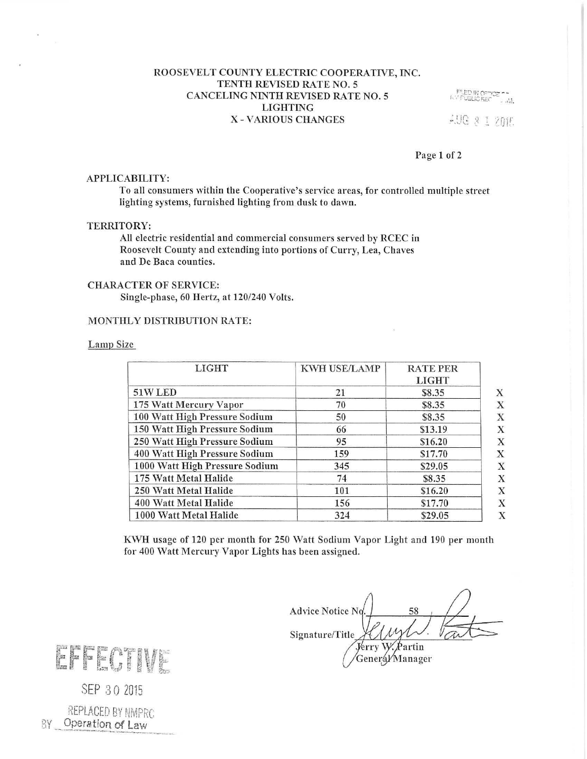## ROOSEVELT COUNTY ELECTRIC COOPERATIVE, INC. TENTH REVISED RATE NO. 5 CANCELING NINTH REVISED RATE NO. 5 **LIGHTING** X - VARIOUS CHANGES

F" ED IN OFFICE CHA AUG & I 2mm

# Page 1 of 2

## APPLICABILITY:

To all consumers within the Cooperative's service areas, for controlled multiple street lighting systems, furnished lighting from dusk to dawn.

## TERRITORY:

All electric residential and commercial consumers served by RCEC in Roosevelt County and extending into portions of Curry, Lea, Chaves and De Baca counties.

# **CHARACTER OF SERVICE:**

Single-phase, 60 Hertz, at 120/240 Volts.

## MONTHLY DISTRIBUTION RATE:

### Lamp Size

| <b>LIGHT</b>                   | KWH USE/LAMP | <b>RATE PER</b><br><b>LIGHT</b> |
|--------------------------------|--------------|---------------------------------|
| 51W LED                        | 21           | \$8.35                          |
| 175 Watt Mercury Vapor         | 70           | \$8.35                          |
| 100 Watt High Pressure Sodium  | 50           | \$8.35                          |
| 150 Watt High Pressure Sodium  | 66           | \$13.19                         |
| 250 Watt High Pressure Sodium  | 95           | \$16.20                         |
| 400 Watt High Pressure Sodium  | 159          | \$17.70                         |
| 1000 Watt High Pressure Sodium | 345          | \$29.05                         |
| 175 Watt Metal Halide          | 74           | \$8.35                          |
| 250 Watt Metal Halide          | 101          | \$16.20                         |
| 400 Watt Metal Halide          | 156          | \$17.70                         |
| 1000 Watt Metal Halide         | 324          | \$29.05                         |

KWH usage of 120 per month for 250 Watt Sodium Vapor Light and 190 per month for 400 Watt Mercury Vapor Lights has been assigned.

**Advice Notice No** 58 Signature/Title Partin Jerry W. Generál/Manager

EFF AT

SEP 30 2015

REPLACED BY NMPRC BY Operation of Law